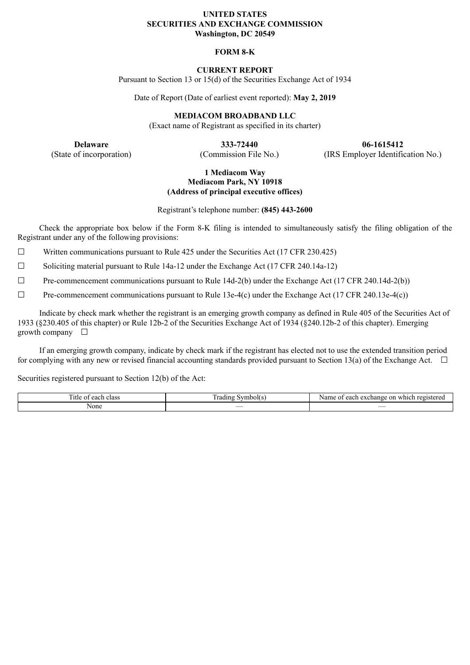## **UNITED STATES SECURITIES AND EXCHANGE COMMISSION Washington, DC 20549**

# **FORM 8-K**

# **CURRENT REPORT**

Pursuant to Section 13 or 15(d) of the Securities Exchange Act of 1934

Date of Report (Date of earliest event reported): **May 2, 2019**

**MEDIACOM BROADBAND LLC**

(Exact name of Registrant as specified in its charter)

**Delaware 333-72440 06-1615412** (State of incorporation) (Commission File No.) (IRS Employer Identification No.)

## **1 Mediacom Way Mediacom Park, NY 10918 (Address of principal executive offices)**

Registrant's telephone number: **(845) 443-2600**

Check the appropriate box below if the Form 8-K filing is intended to simultaneously satisfy the filing obligation of the Registrant under any of the following provisions:

 $\Box$  Written communications pursuant to Rule 425 under the Securities Act (17 CFR 230.425)

 $\Box$  Soliciting material pursuant to Rule 14a-12 under the Exchange Act (17 CFR 240.14a-12)

☐ Pre-commencement communications pursuant to Rule 14d-2(b) under the Exchange Act (17 CFR 240.14d-2(b))

 $\Box$  Pre-commencement communications pursuant to Rule 13e-4(c) under the Exchange Act (17 CFR 240.13e-4(c))

Indicate by check mark whether the registrant is an emerging growth company as defined in Rule 405 of the Securities Act of 1933 (§230.405 of this chapter) or Rule 12b-2 of the Securities Exchange Act of 1934 (§240.12b-2 of this chapter). Emerging growth company  $\Box$ 

If an emerging growth company, indicate by check mark if the registrant has elected not to use the extended transition period for complying with any new or revised financial accounting standards provided pursuant to Section 13(a) of the Exchange Act.  $\Box$ 

Securities registered pursuant to Section 12(b) of the Act:

| men.<br>∷itle<br>. agah<br>class<br>$\sim$ <sup>+</sup><br>Cau<br>., | ' rading<br>Symbol(s) | . on<br>registered<br>Name<br>each<br>which<br>exchange<br>ΩĪ |
|----------------------------------------------------------------------|-----------------------|---------------------------------------------------------------|
| None                                                                 | __                    | $\overline{\phantom{a}}$                                      |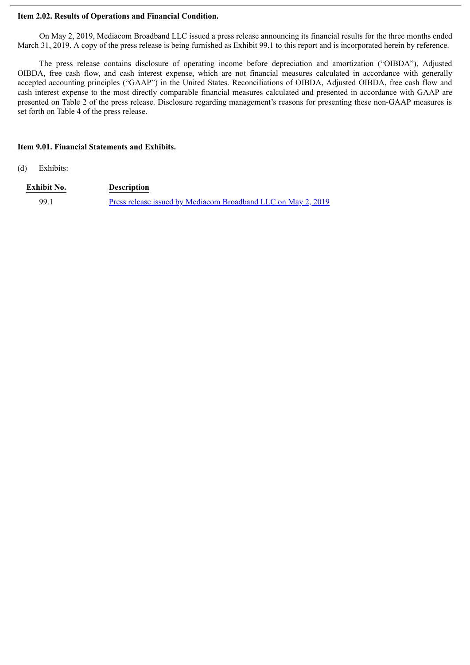# **Item 2.02. Results of Operations and Financial Condition.**

On May 2, 2019, Mediacom Broadband LLC issued a press release announcing its financial results for the three months ended March 31, 2019. A copy of the press release is being furnished as Exhibit 99.1 to this report and is incorporated herein by reference.

The press release contains disclosure of operating income before depreciation and amortization ("OIBDA"), Adjusted OIBDA, free cash flow, and cash interest expense, which are not financial measures calculated in accordance with generally accepted accounting principles ("GAAP") in the United States. Reconciliations of OIBDA, Adjusted OIBDA, free cash flow and cash interest expense to the most directly comparable financial measures calculated and presented in accordance with GAAP are presented on Table 2 of the press release. Disclosure regarding management's reasons for presenting these non-GAAP measures is set forth on Table 4 of the press release.

# **Item 9.01. Financial Statements and Exhibits.**

(d) Exhibits:

| <b>Exhibit No.</b> | <b>Description</b>                                                   |
|--------------------|----------------------------------------------------------------------|
| 99.1               | <u>Press release issued by Mediacom Broadband LLC on May 2, 2019</u> |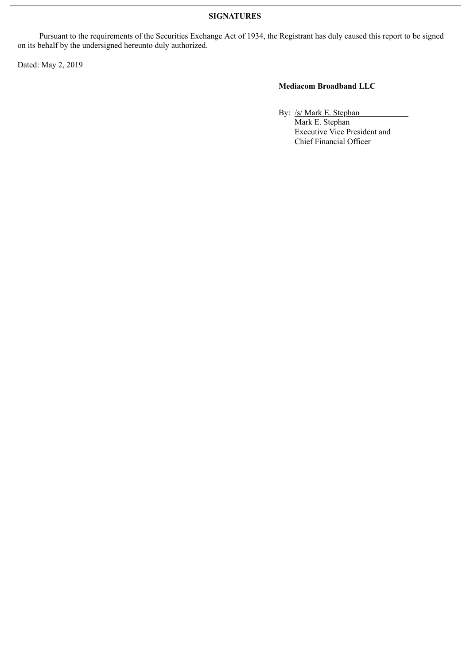# **SIGNATURES**

Pursuant to the requirements of the Securities Exchange Act of 1934, the Registrant has duly caused this report to be signed on its behalf by the undersigned hereunto duly authorized.

Dated: May 2, 2019

# **Mediacom Broadband LLC**

By: /s/ Mark E. Stephan

Mark E. Stephan Executive Vice President and Chief Financial Officer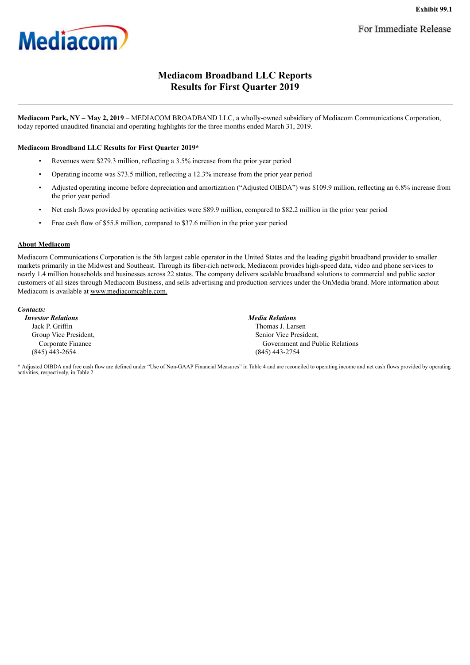<span id="page-3-0"></span>

# **Mediacom Broadband LLC Reports Results for First Quarter 2019**

**Mediacom Park, NY – May 2, 2019** – MEDIACOM BROADBAND LLC, a wholly-owned subsidiary of Mediacom Communications Corporation, today reported unaudited financial and operating highlights for the three months ended March 31, 2019.

### **Mediacom Broadband LLC Results for First Quarter 2019\***

- Revenues were \$279.3 million, reflecting a 3.5% increase from the prior year period
- Operating income was \$73.5 million, reflecting a 12.3% increase from the prior year period
- Adjusted operating income before depreciation and amortization ("Adjusted OIBDA") was \$109.9 million, reflecting an 6.8% increase from the prior year period
- Net cash flows provided by operating activities were \$89.9 million, compared to \$82.2 million in the prior year period
- Free cash flow of \$55.8 million, compared to \$37.6 million in the prior year period

### **About Mediacom**

Mediacom Communications Corporation is the 5th largest cable operator in the United States and the leading gigabit broadband provider to smaller markets primarily in the Midwest and Southeast. Through its fiber-rich network, Mediacom provides high-speed data, video and phone services to nearly 1.4 million households and businesses across 22 states. The company delivers scalable broadband solutions to commercial and public sector customers of all sizes through Mediacom Business, and sells advertising and production services under the OnMedia brand. More information about Mediacom is available at www.mediacomcable.com.

*Contacts:*

*Investor Relations Media Relations* Jack P. Griffin Thomas J. Larsen Group Vice President, Corporate Finance (845) 443-2654 (845) 443-2754

Senior Vice President, Government and Public Relations

\* Adjusted OIBDA and free cash flow are defined under "Use of Non-GAAP Financial Measures" in Table 4 and are reconciled to operating income and net cash flows provided by operating activities, respectively, in Table 2.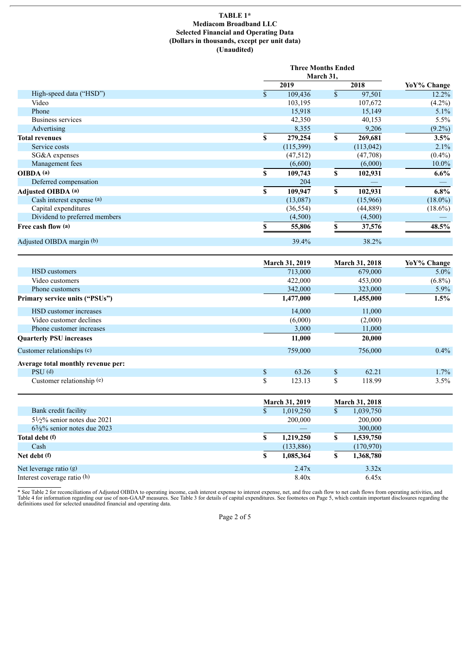### **TABLE 1\* Mediacom Broadband LLC Selected Financial and Operating Data (Dollars in thousands, except per unit data) (Unaudited)**

|                               |              | <b>Three Months Ended</b><br>March 31, |    |            |             |  |
|-------------------------------|--------------|----------------------------------------|----|------------|-------------|--|
| High-speed data ("HSD")       |              | 2019                                   |    | 2018       | YoY% Change |  |
|                               | $\mathbf{s}$ | 109,436                                | \$ | 97,501     | $12.2\%$    |  |
| Video                         |              | 103,195                                |    | 107,672    | $(4.2\%)$   |  |
| Phone                         |              | 15,918                                 |    | 15,149     | $5.1\%$     |  |
| Business services             |              | 42,350                                 |    | 40,153     | $5.5\%$     |  |
| Advertising                   |              | 8,355                                  |    | 9,206      | $(9.2\%)$   |  |
| <b>Total revenues</b>         | S            | 279,254                                | \$ | 269,681    | 3.5%        |  |
| Service costs                 |              | (115,399)                              |    | (113, 042) | 2.1%        |  |
| SG&A expenses                 |              | (47,512)                               |    | (47,708)   | $(0.4\%)$   |  |
| Management fees               |              | (6,600)                                |    | (6,000)    | $10.0\%$    |  |
| OIBDA (a)                     | S            | 109,743                                | \$ | 102,931    | $6.6\%$     |  |
| Deferred compensation         |              | 204                                    |    |            |             |  |
| Adjusted OIBDA (a)            | S            | 109,947                                | \$ | 102,931    | $6.8\%$     |  |
| Cash interest expense (a)     |              | (13,087)                               |    | (15,966)   | $(18.0\%)$  |  |
| Capital expenditures          |              | (36, 554)                              |    | (44,889)   | $(18.6\%)$  |  |
| Dividend to preferred members |              | (4,500)                                |    | (4,500)    |             |  |
| Free cash flow (a)            |              | 55,806                                 | \$ | 37,576     | 48.5%       |  |
| Adjusted OIBDA margin (b)     |              | 39.4%                                  |    | 38.2%      |             |  |

|                                         |                       | <b>March 31, 2019</b> |                       | <b>March 31, 2018</b> | YoY% Change |
|-----------------------------------------|-----------------------|-----------------------|-----------------------|-----------------------|-------------|
| <b>HSD</b> customers                    |                       | 713,000               |                       | 679,000               | $5.0\%$     |
| Video customers                         |                       | 422,000               | 453,000               |                       | $(6.8\%)$   |
| Phone customers                         |                       | 342,000               |                       | 323,000               | $5.9\%$     |
| Primary service units ("PSUs")          |                       | 1,477,000             |                       | 1,455,000             | 1.5%        |
| HSD customer increases                  |                       | 14,000                |                       | 11,000                |             |
| Video customer declines                 |                       | (6,000)               |                       | (2,000)               |             |
| Phone customer increases                |                       | 3,000                 |                       | 11,000                |             |
| <b>Quarterly PSU increases</b>          |                       | 11,000                |                       | 20,000                |             |
| Customer relationships (c)              |                       | 759,000               |                       | 756,000               | $0.4\%$     |
| Average total monthly revenue per:      |                       |                       |                       |                       |             |
| $PSU$ (d)                               | \$                    | 63.26                 | \$                    | 62.21                 | 1.7%        |
| Customer relationship (e)               | \$                    | 123.13                | \$                    | 118.99                | 3.5%        |
|                                         | <b>March 31, 2019</b> |                       | <b>March 31, 2018</b> |                       |             |
| Bank credit facility                    | \$                    | 1,019,250             | \$                    | 1,039,750             |             |
| $5\frac{1}{2}\%$ senior notes due 2021  |                       | 200,000               |                       | 200,000               |             |
| $63\frac{1}{8}\%$ senior notes due 2023 |                       |                       |                       | 300,000               |             |
| Total debt (f)                          | S                     | 1,219,250             | \$                    | 1,539,750             |             |
| Cash                                    |                       | (133,886)             |                       | (170,970)             |             |
| Net debt (f)                            | S                     | 1,085,364             | \$                    | 1,368,780             |             |
| Net leverage ratio (g)                  |                       | 2.47x                 |                       | 3.32x                 |             |
| Interest coverage ratio (h)             |                       | 8.40x                 |                       | 6.45x                 |             |

\* See Table 2 for reconciliations of Adjusted OIBDA to operating income, cash interest expense to interest expense, net, and free cash flow to net cash flows from operating activities, and<br>Table 4 for information regarding

Page 2 of 5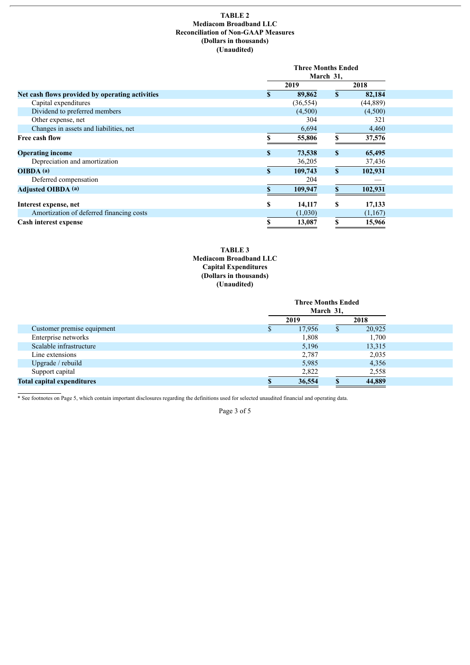### **TABLE 2 Mediacom Broadband LLC Reconciliation of Non-GAAP Measures (Dollars in thousands) (Unaudited)**

|                                                 | <b>Three Months Ended</b> |    |           |  |
|-------------------------------------------------|---------------------------|----|-----------|--|
|                                                 | March 31,                 |    |           |  |
|                                                 | 2019                      |    | 2018      |  |
| Net cash flows provided by operating activities | 89,862                    | \$ | 82,184    |  |
| Capital expenditures                            | (36, 554)                 |    | (44, 889) |  |
| Dividend to preferred members                   | (4,500)                   |    | (4,500)   |  |
| Other expense, net                              | 304                       |    | 321       |  |
| Changes in assets and liabilities, net          | 6,694                     |    | 4,460     |  |
| Free cash flow                                  | 55,806                    |    | 37,576    |  |
| <b>Operating income</b>                         | \$<br>73,538              | \$ | 65,495    |  |
| Depreciation and amortization                   | 36,205                    |    | 37,436    |  |
| OIBDA(a)                                        | \$<br>109,743             | S  | 102,931   |  |
| Deferred compensation                           | 204                       |    |           |  |
| <b>Adjusted OIBDA (a)</b>                       | 109,947                   |    | 102,931   |  |
| Interest expense, net                           | \$<br>14,117              | \$ | 17,133    |  |
| Amortization of deferred financing costs        | (1,030)                   |    | (1,167)   |  |
| Cash interest expense                           | \$<br>13,087              | \$ | 15,966    |  |

## **TABLE 3 Mediacom Broadband LLC Capital Expenditures (Dollars in thousands) (Unaudited)**

|                                   | <b>Three Months Ended</b> |        |      |        |  |
|-----------------------------------|---------------------------|--------|------|--------|--|
|                                   | March 31,                 |        |      |        |  |
|                                   | 2019                      |        | 2018 |        |  |
| Customer premise equipment        |                           | 17,956 | D.   | 20,925 |  |
| Enterprise networks               |                           | 1,808  |      | 1,700  |  |
| Scalable infrastructure           |                           | 5,196  |      | 13,315 |  |
| Line extensions                   |                           | 2,787  |      | 2,035  |  |
| Upgrade / rebuild                 |                           | 5,985  |      | 4,356  |  |
| Support capital                   |                           | 2,822  |      | 2,558  |  |
| <b>Total capital expenditures</b> |                           | 36,554 |      | 44,889 |  |

\* See footnotes on Page 5, which contain important disclosures regarding the definitions used for selected unaudited financial and operating data.

Page 3 of 5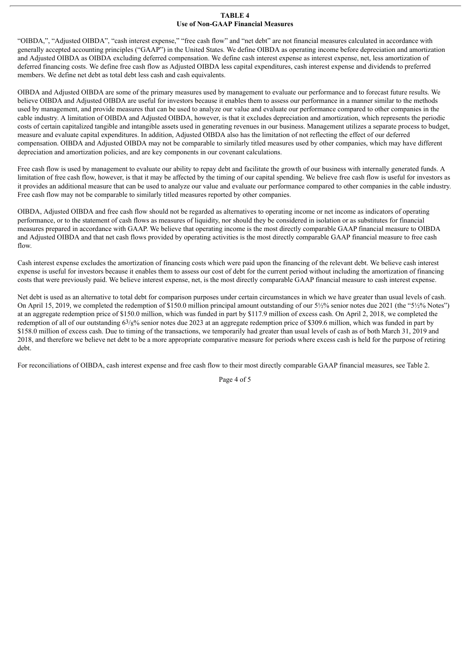#### **TABLE 4 Use of Non-GAAP Financial Measures**

"OIBDA,", "Adjusted OIBDA", "cash interest expense," "free cash flow" and "net debt" are not financial measures calculated in accordance with generally accepted accounting principles ("GAAP") in the United States. We define OIBDA as operating income before depreciation and amortization and Adjusted OIBDA as OIBDA excluding deferred compensation. We define cash interest expense as interest expense, net, less amortization of deferred financing costs. We define free cash flow as Adjusted OIBDA less capital expenditures, cash interest expense and dividends to preferred members. We define net debt as total debt less cash and cash equivalents.

OIBDA and Adjusted OIBDA are some of the primary measures used by management to evaluate our performance and to forecast future results. We believe OIBDA and Adjusted OIBDA are useful for investors because it enables them to assess our performance in a manner similar to the methods used by management, and provide measures that can be used to analyze our value and evaluate our performance compared to other companies in the cable industry. A limitation of OIBDA and Adjusted OIBDA, however, is that it excludes depreciation and amortization, which represents the periodic costs of certain capitalized tangible and intangible assets used in generating revenues in our business. Management utilizes a separate process to budget, measure and evaluate capital expenditures. In addition, Adjusted OIBDA also has the limitation of not reflecting the effect of our deferred compensation. OIBDA and Adjusted OIBDA may not be comparable to similarly titled measures used by other companies, which may have different depreciation and amortization policies, and are key components in our covenant calculations.

Free cash flow is used by management to evaluate our ability to repay debt and facilitate the growth of our business with internally generated funds. A limitation of free cash flow, however, is that it may be affected by the timing of our capital spending. We believe free cash flow is useful for investors as it provides an additional measure that can be used to analyze our value and evaluate our performance compared to other companies in the cable industry. Free cash flow may not be comparable to similarly titled measures reported by other companies.

OIBDA, Adjusted OIBDA and free cash flow should not be regarded as alternatives to operating income or net income as indicators of operating performance, or to the statement of cash flows as measures of liquidity, nor should they be considered in isolation or as substitutes for financial measures prepared in accordance with GAAP. We believe that operating income is the most directly comparable GAAP financial measure to OIBDA and Adjusted OIBDA and that net cash flows provided by operating activities is the most directly comparable GAAP financial measure to free cash flow.

Cash interest expense excludes the amortization of financing costs which were paid upon the financing of the relevant debt. We believe cash interest expense is useful for investors because it enables them to assess our cost of debt for the current period without including the amortization of financing costs that were previously paid. We believe interest expense, net, is the most directly comparable GAAP financial measure to cash interest expense.

Net debt is used as an alternative to total debt for comparison purposes under certain circumstances in which we have greater than usual levels of cash. On April 15, 2019, we completed the redemption of \$150.0 million principal amount outstanding of our 5½% senior notes due 2021 (the "5½% Notes") at an aggregate redemption price of \$150.0 million, which was funded in part by \$117.9 million of excess cash. On April 2, 2018, we completed the redemption of all of our outstanding 63/8% senior notes due 2023 at an aggregate redemption price of \$309.6 million, which was funded in part by \$158.0 million of excess cash. Due to timing of the transactions, we temporarily had greater than usual levels of cash as of both March 31, 2019 and 2018, and therefore we believe net debt to be a more appropriate comparative measure for periods where excess cash is held for the purpose of retiring debt.

For reconciliations of OIBDA, cash interest expense and free cash flow to their most directly comparable GAAP financial measures, see Table 2.

Page 4 of 5